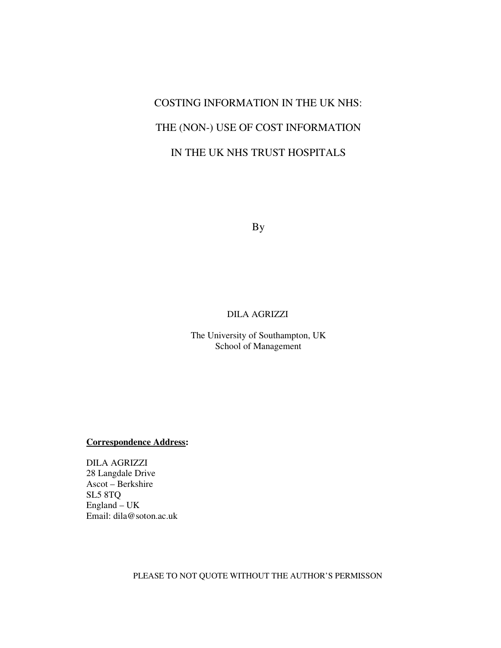# COSTING INFORMATION IN THE UK NHS: THE (NON-) USE OF COST INFORMATION IN THE UK NHS TRUST HOSPITALS

By

## DILA AGRIZZI

The University of Southampton, UK School of Management

**Correspondence Address:**

DILA AGRIZZI 28 Langdale Drive Ascot – Berkshire SL5 8TQ England – UK Email: dila@soton.ac.uk

PLEASE TO NOT QUOTE WITHOUT THE AUTHOR'S PERMISSON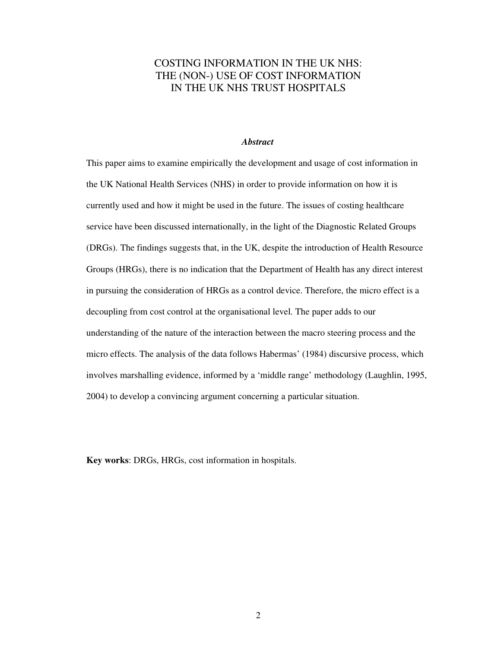## COSTING INFORMATION IN THE UK NHS: THE (NON-) USE OF COST INFORMATION IN THE UK NHS TRUST HOSPITALS

## *Abstract*

This paper aims to examine empirically the development and usage of cost information in the UK National Health Services (NHS) in order to provide information on how it is currently used and how it might be used in the future. The issues of costing healthcare service have been discussed internationally, in the light of the Diagnostic Related Groups (DRGs). The findings suggests that, in the UK, despite the introduction of Health Resource Groups (HRGs), there is no indication that the Department of Health has any direct interest in pursuing the consideration of HRGs as a control device. Therefore, the micro effect is a decoupling from cost control at the organisational level. The paper adds to our understanding of the nature of the interaction between the macro steering process and the micro effects. The analysis of the data follows Habermas' (1984) discursive process, which involves marshalling evidence, informed by a 'middle range' methodology (Laughlin, 1995, 2004) to develop a convincing argument concerning a particular situation.

**Key works**: DRGs, HRGs, cost information in hospitals.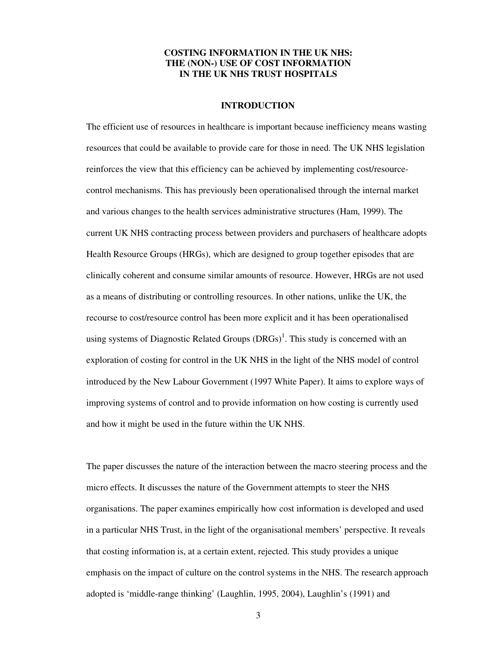## **COSTING INFORMATION IN THE UK NHS: THE (NON-) USE OF COST INFORMATION IN THE UK NHS TRUST HOSPITALS**

#### **INTRODUCTION**

The efficient use of resources in healthcare is important because inefficiency means wasting resources that could be available to provide care for those in need. The UK NHS legislation reinforces the view that this efficiency can be achieved by implementing cost/resourcecontrol mechanisms. This has previously been operationalised through the internal market and various changes to the health services administrative structures (Ham, 1999). The current UK NHS contracting process between providers and purchasers of healthcare adopts Health Resource Groups (HRGs), which are designed to group together episodes that are clinically coherent and consume similar amounts of resource. However, HRGs are not used as a means of distributing or controlling resources. In other nations, unlike the UK, the recourse to cost/resource control has been more explicit and it has been operationalised using systems of Diagnostic Related Groups  $(DRGs)^{1}$ . This study is concerned with an exploration of costing for control in the UK NHS in the light of the NHS model of control introduced by the New Labour Government (1997 White Paper). It aims to explore ways of improving systems of control and to provide information on how costing is currently used and how it might be used in the future within the UK NHS.

The paper discusses the nature of the interaction between the macro steering process and the micro effects. It discusses the nature of the Government attempts to steer the NHS organisations. The paper examines empirically how cost information is developed and used in a particular NHS Trust, in the light of the organisational members' perspective. It reveals that costing information is, at a certain extent, rejected. This study provides a unique emphasis on the impact of culture on the control systems in the NHS. The research approach adopted is 'middle-range thinking' (Laughlin, 1995, 2004), Laughlin's (1991) and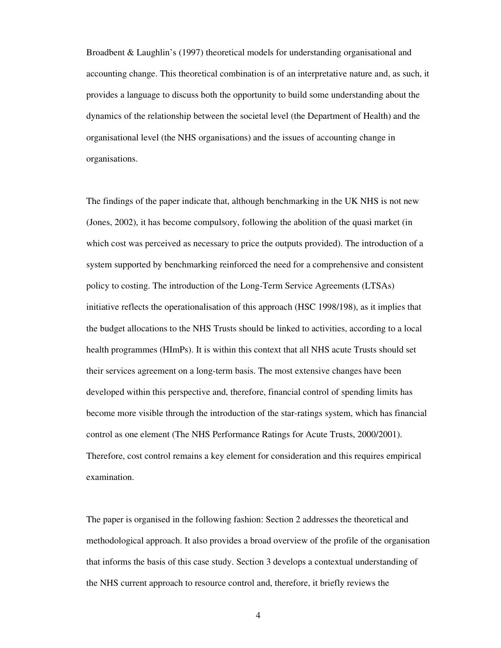Broadbent & Laughlin's (1997) theoretical models for understanding organisational and accounting change. This theoretical combination is of an interpretative nature and, as such, it provides a language to discuss both the opportunity to build some understanding about the dynamics of the relationship between the societal level (the Department of Health) and the organisational level (the NHS organisations) and the issues of accounting change in organisations.

The findings of the paper indicate that, although benchmarking in the UK NHS is not new (Jones, 2002), it has become compulsory, following the abolition of the quasi market (in which cost was perceived as necessary to price the outputs provided). The introduction of a system supported by benchmarking reinforced the need for a comprehensive and consistent policy to costing. The introduction of the Long-Term Service Agreements (LTSAs) initiative reflects the operationalisation of this approach (HSC 1998/198), as it implies that the budget allocations to the NHS Trusts should be linked to activities, according to a local health programmes (HImPs). It is within this context that all NHS acute Trusts should set their services agreement on a long-term basis. The most extensive changes have been developed within this perspective and, therefore, financial control of spending limits has become more visible through the introduction of the star-ratings system, which has financial control as one element (The NHS Performance Ratings for Acute Trusts, 2000/2001). Therefore, cost control remains a key element for consideration and this requires empirical examination.

The paper is organised in the following fashion: Section 2 addresses the theoretical and methodological approach. It also provides a broad overview of the profile of the organisation that informs the basis of this case study. Section 3 develops a contextual understanding of the NHS current approach to resource control and, therefore, it briefly reviews the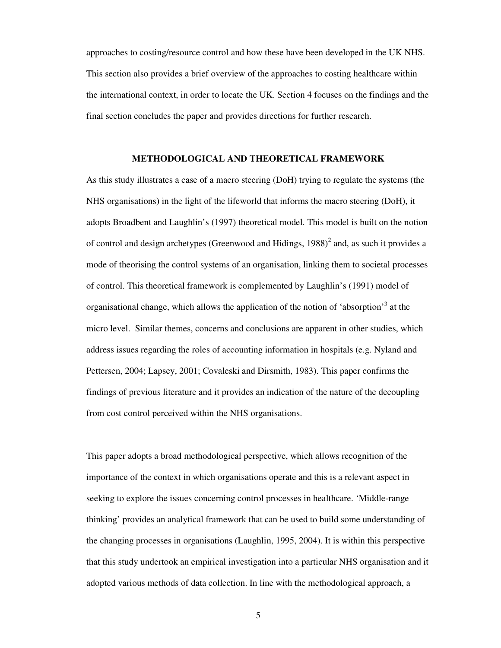approaches to costing/resource control and how these have been developed in the UK NHS. This section also provides a brief overview of the approaches to costing healthcare within the international context, in order to locate the UK. Section 4 focuses on the findings and the final section concludes the paper and provides directions for further research.

#### **METHODOLOGICAL AND THEORETICAL FRAMEWORK**

As this study illustrates a case of a macro steering (DoH) trying to regulate the systems (the NHS organisations) in the light of the lifeworld that informs the macro steering (DoH), it adopts Broadbent and Laughlin's (1997) theoretical model. This model is built on the notion of control and design archetypes (Greenwood and Hidings, 1988)<sup>2</sup> and, as such it provides a mode of theorising the control systems of an organisation, linking them to societal processes of control. This theoretical framework is complemented by Laughlin's (1991) model of organisational change, which allows the application of the notion of 'absorption'<sup>3</sup> at the micro level. Similar themes, concerns and conclusions are apparent in other studies, which address issues regarding the roles of accounting information in hospitals (e.g. Nyland and Pettersen, 2004; Lapsey, 2001; Covaleski and Dirsmith, 1983). This paper confirms the findings of previous literature and it provides an indication of the nature of the decoupling from cost control perceived within the NHS organisations.

This paper adopts a broad methodological perspective, which allows recognition of the importance of the context in which organisations operate and this is a relevant aspect in seeking to explore the issues concerning control processes in healthcare. 'Middle-range thinking' provides an analytical framework that can be used to build some understanding of the changing processes in organisations (Laughlin, 1995, 2004). It is within this perspective that this study undertook an empirical investigation into a particular NHS organisation and it adopted various methods of data collection. In line with the methodological approach, a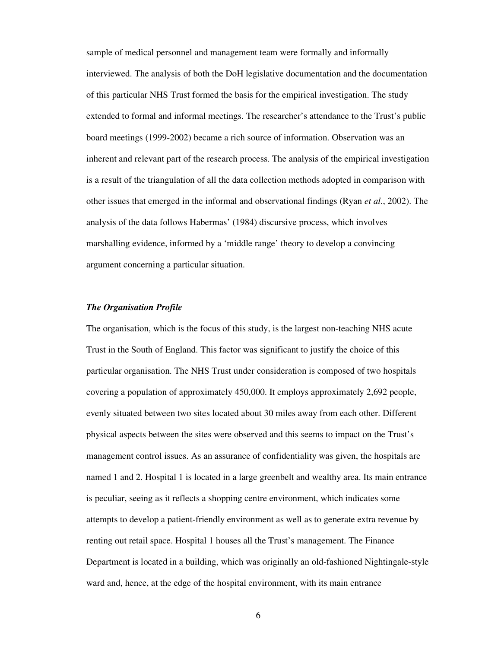sample of medical personnel and management team were formally and informally interviewed. The analysis of both the DoH legislative documentation and the documentation of this particular NHS Trust formed the basis for the empirical investigation. The study extended to formal and informal meetings. The researcher's attendance to the Trust's public board meetings (1999-2002) became a rich source of information. Observation was an inherent and relevant part of the research process. The analysis of the empirical investigation is a result of the triangulation of all the data collection methods adopted in comparison with other issues that emerged in the informal and observational findings (Ryan *et al*., 2002). The analysis of the data follows Habermas' (1984) discursive process, which involves marshalling evidence, informed by a 'middle range' theory to develop a convincing argument concerning a particular situation.

## *The Organisation Profile*

The organisation, which is the focus of this study, is the largest non-teaching NHS acute Trust in the South of England. This factor was significant to justify the choice of this particular organisation. The NHS Trust under consideration is composed of two hospitals covering a population of approximately 450,000. It employs approximately 2,692 people, evenly situated between two sites located about 30 miles away from each other. Different physical aspects between the sites were observed and this seems to impact on the Trust's management control issues. As an assurance of confidentiality was given, the hospitals are named 1 and 2. Hospital 1 is located in a large greenbelt and wealthy area. Its main entrance is peculiar, seeing as it reflects a shopping centre environment, which indicates some attempts to develop a patient-friendly environment as well as to generate extra revenue by renting out retail space. Hospital 1 houses all the Trust's management. The Finance Department is located in a building, which was originally an old-fashioned Nightingale-style ward and, hence, at the edge of the hospital environment, with its main entrance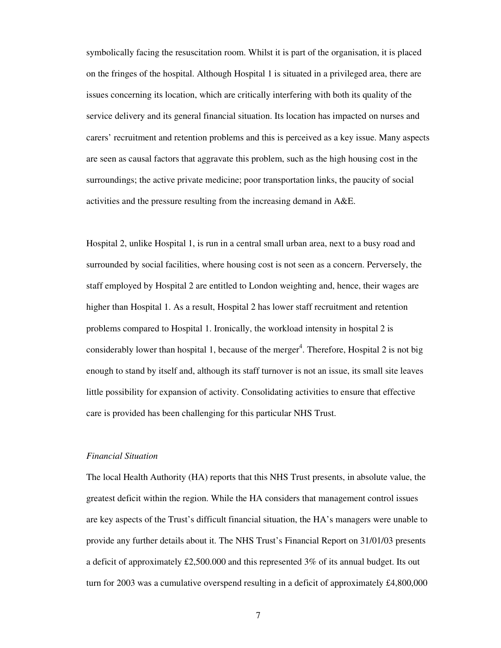symbolically facing the resuscitation room. Whilst it is part of the organisation, it is placed on the fringes of the hospital. Although Hospital 1 is situated in a privileged area, there are issues concerning its location, which are critically interfering with both its quality of the service delivery and its general financial situation. Its location has impacted on nurses and carers' recruitment and retention problems and this is perceived as a key issue. Many aspects are seen as causal factors that aggravate this problem, such as the high housing cost in the surroundings; the active private medicine; poor transportation links, the paucity of social activities and the pressure resulting from the increasing demand in A&E.

Hospital 2, unlike Hospital 1, is run in a central small urban area, next to a busy road and surrounded by social facilities, where housing cost is not seen as a concern. Perversely, the staff employed by Hospital 2 are entitled to London weighting and, hence, their wages are higher than Hospital 1. As a result, Hospital 2 has lower staff recruitment and retention problems compared to Hospital 1. Ironically, the workload intensity in hospital 2 is considerably lower than hospital 1, because of the merger<sup>4</sup>. Therefore, Hospital 2 is not big enough to stand by itself and, although its staff turnover is not an issue, its small site leaves little possibility for expansion of activity. Consolidating activities to ensure that effective care is provided has been challenging for this particular NHS Trust.

#### *Financial Situation*

The local Health Authority (HA) reports that this NHS Trust presents, in absolute value, the greatest deficit within the region. While the HA considers that management control issues are key aspects of the Trust's difficult financial situation, the HA's managers were unable to provide any further details about it. The NHS Trust's Financial Report on 31/01/03 presents a deficit of approximately £2,500.000 and this represented 3% of its annual budget. Its out turn for 2003 was a cumulative overspend resulting in a deficit of approximately £4,800,000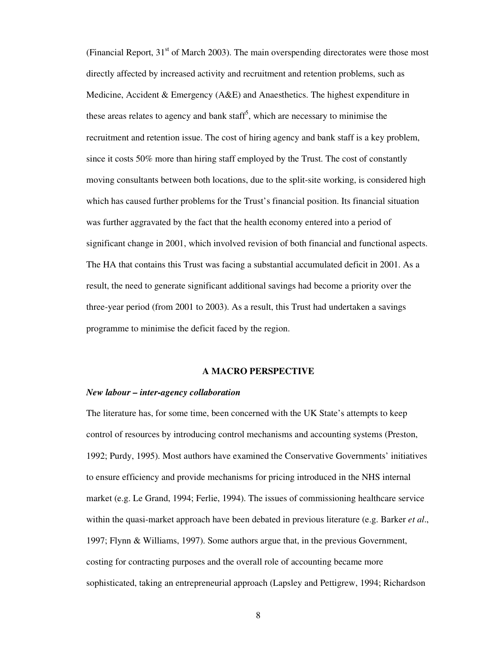(Financial Report, 31<sup>st</sup> of March 2003). The main overspending directorates were those most directly affected by increased activity and recruitment and retention problems, such as Medicine, Accident  $&$  Emergency (A&E) and Anaesthetics. The highest expenditure in these areas relates to agency and bank staff<sup>5</sup>, which are necessary to minimise the recruitment and retention issue. The cost of hiring agency and bank staff is a key problem, since it costs 50% more than hiring staff employed by the Trust. The cost of constantly moving consultants between both locations, due to the split-site working, is considered high which has caused further problems for the Trust's financial position. Its financial situation was further aggravated by the fact that the health economy entered into a period of significant change in 2001, which involved revision of both financial and functional aspects. The HA that contains this Trust was facing a substantial accumulated deficit in 2001. As a result, the need to generate significant additional savings had become a priority over the three-year period (from 2001 to 2003). As a result, this Trust had undertaken a savings programme to minimise the deficit faced by the region.

#### **A MACRO PERSPECTIVE**

### *New labour – inter-agency collaboration*

The literature has, for some time, been concerned with the UK State's attempts to keep control of resources by introducing control mechanisms and accounting systems (Preston, 1992; Purdy, 1995). Most authors have examined the Conservative Governments' initiatives to ensure efficiency and provide mechanisms for pricing introduced in the NHS internal market (e.g. Le Grand, 1994; Ferlie, 1994). The issues of commissioning healthcare service within the quasi-market approach have been debated in previous literature (e.g. Barker *et al*., 1997; Flynn & Williams, 1997). Some authors argue that, in the previous Government, costing for contracting purposes and the overall role of accounting became more sophisticated, taking an entrepreneurial approach (Lapsley and Pettigrew, 1994; Richardson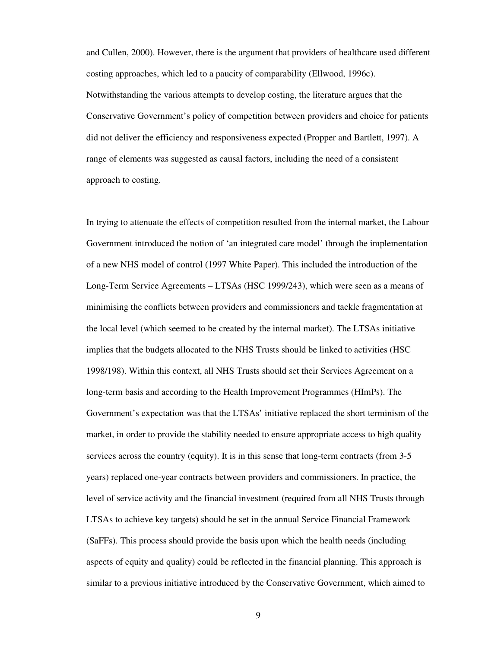and Cullen, 2000). However, there is the argument that providers of healthcare used different costing approaches, which led to a paucity of comparability (Ellwood, 1996c). Notwithstanding the various attempts to develop costing, the literature argues that the Conservative Government's policy of competition between providers and choice for patients did not deliver the efficiency and responsiveness expected (Propper and Bartlett, 1997). A range of elements was suggested as causal factors, including the need of a consistent approach to costing.

In trying to attenuate the effects of competition resulted from the internal market, the Labour Government introduced the notion of 'an integrated care model' through the implementation of a new NHS model of control (1997 White Paper). This included the introduction of the Long-Term Service Agreements – LTSAs (HSC 1999/243), which were seen as a means of minimising the conflicts between providers and commissioners and tackle fragmentation at the local level (which seemed to be created by the internal market). The LTSAs initiative implies that the budgets allocated to the NHS Trusts should be linked to activities (HSC 1998/198). Within this context, all NHS Trusts should set their Services Agreement on a long-term basis and according to the Health Improvement Programmes (HImPs). The Government's expectation was that the LTSAs' initiative replaced the short terminism of the market, in order to provide the stability needed to ensure appropriate access to high quality services across the country (equity). It is in this sense that long-term contracts (from 3-5 years) replaced one-year contracts between providers and commissioners. In practice, the level of service activity and the financial investment (required from all NHS Trusts through LTSAs to achieve key targets) should be set in the annual Service Financial Framework (SaFFs). This process should provide the basis upon which the health needs (including aspects of equity and quality) could be reflected in the financial planning. This approach is similar to a previous initiative introduced by the Conservative Government, which aimed to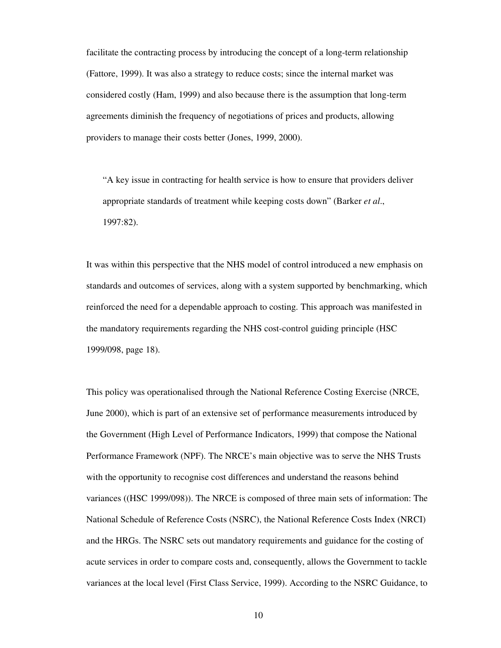facilitate the contracting process by introducing the concept of a long-term relationship (Fattore, 1999). It was also a strategy to reduce costs; since the internal market was considered costly (Ham, 1999) and also because there is the assumption that long-term agreements diminish the frequency of negotiations of prices and products, allowing providers to manage their costs better (Jones, 1999, 2000).

"A key issue in contracting for health service is how to ensure that providers deliver appropriate standards of treatment while keeping costs down" (Barker *et al*., 1997:82).

It was within this perspective that the NHS model of control introduced a new emphasis on standards and outcomes of services, along with a system supported by benchmarking, which reinforced the need for a dependable approach to costing. This approach was manifested in the mandatory requirements regarding the NHS cost-control guiding principle (HSC 1999/098, page 18).

This policy was operationalised through the National Reference Costing Exercise (NRCE, June 2000), which is part of an extensive set of performance measurements introduced by the Government (High Level of Performance Indicators, 1999) that compose the National Performance Framework (NPF). The NRCE's main objective was to serve the NHS Trusts with the opportunity to recognise cost differences and understand the reasons behind variances ((HSC 1999/098)). The NRCE is composed of three main sets of information: The National Schedule of Reference Costs (NSRC), the National Reference Costs Index (NRCI) and the HRGs. The NSRC sets out mandatory requirements and guidance for the costing of acute services in order to compare costs and, consequently, allows the Government to tackle variances at the local level (First Class Service, 1999). According to the NSRC Guidance, to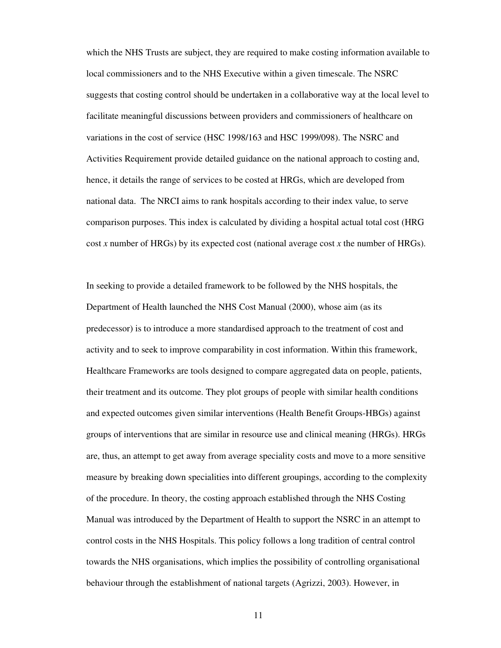which the NHS Trusts are subject, they are required to make costing information available to local commissioners and to the NHS Executive within a given timescale. The NSRC suggests that costing control should be undertaken in a collaborative way at the local level to facilitate meaningful discussions between providers and commissioners of healthcare on variations in the cost of service (HSC 1998/163 and HSC 1999/098). The NSRC and Activities Requirement provide detailed guidance on the national approach to costing and, hence, it details the range of services to be costed at HRGs, which are developed from national data. The NRCI aims to rank hospitals according to their index value, to serve comparison purposes. This index is calculated by dividing a hospital actual total cost (HRG cost *x* number of HRGs) by its expected cost (national average cost *x* the number of HRGs).

In seeking to provide a detailed framework to be followed by the NHS hospitals, the Department of Health launched the NHS Cost Manual (2000), whose aim (as its predecessor) is to introduce a more standardised approach to the treatment of cost and activity and to seek to improve comparability in cost information. Within this framework, Healthcare Frameworks are tools designed to compare aggregated data on people, patients, their treatment and its outcome. They plot groups of people with similar health conditions and expected outcomes given similar interventions (Health Benefit Groups-HBGs) against groups of interventions that are similar in resource use and clinical meaning (HRGs). HRGs are, thus, an attempt to get away from average speciality costs and move to a more sensitive measure by breaking down specialities into different groupings, according to the complexity of the procedure. In theory, the costing approach established through the NHS Costing Manual was introduced by the Department of Health to support the NSRC in an attempt to control costs in the NHS Hospitals. This policy follows a long tradition of central control towards the NHS organisations, which implies the possibility of controlling organisational behaviour through the establishment of national targets (Agrizzi, 2003). However, in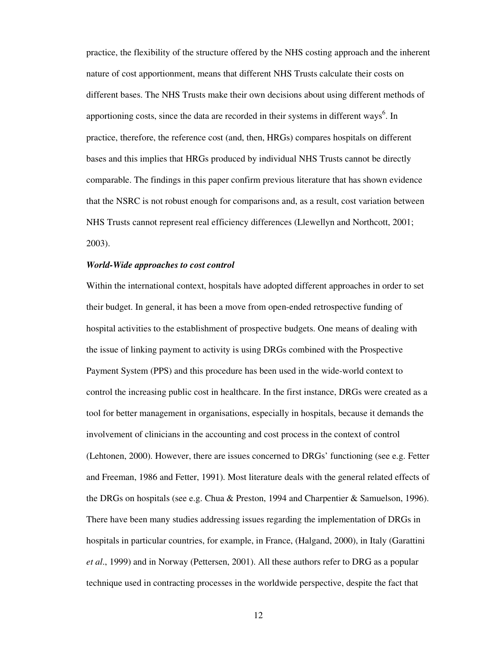practice, the flexibility of the structure offered by the NHS costing approach and the inherent nature of cost apportionment, means that different NHS Trusts calculate their costs on different bases. The NHS Trusts make their own decisions about using different methods of apportioning costs, since the data are recorded in their systems in different ways<sup>6</sup>. In practice, therefore, the reference cost (and, then, HRGs) compares hospitals on different bases and this implies that HRGs produced by individual NHS Trusts cannot be directly comparable. The findings in this paper confirm previous literature that has shown evidence that the NSRC is not robust enough for comparisons and, as a result, cost variation between NHS Trusts cannot represent real efficiency differences (Llewellyn and Northcott, 2001; 2003).

## *World-Wide approaches to cost control*

Within the international context, hospitals have adopted different approaches in order to set their budget. In general, it has been a move from open-ended retrospective funding of hospital activities to the establishment of prospective budgets. One means of dealing with the issue of linking payment to activity is using DRGs combined with the Prospective Payment System (PPS) and this procedure has been used in the wide-world context to control the increasing public cost in healthcare. In the first instance, DRGs were created as a tool for better management in organisations, especially in hospitals, because it demands the involvement of clinicians in the accounting and cost process in the context of control (Lehtonen, 2000). However, there are issues concerned to DRGs' functioning (see e.g. Fetter and Freeman, 1986 and Fetter, 1991). Most literature deals with the general related effects of the DRGs on hospitals (see e.g. Chua & Preston, 1994 and Charpentier & Samuelson, 1996). There have been many studies addressing issues regarding the implementation of DRGs in hospitals in particular countries, for example, in France, (Halgand, 2000), in Italy (Garattini *et al*., 1999) and in Norway (Pettersen, 2001). All these authors refer to DRG as a popular technique used in contracting processes in the worldwide perspective, despite the fact that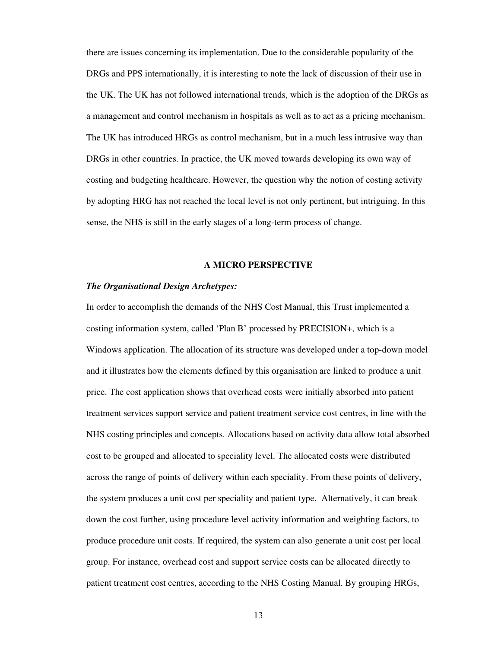there are issues concerning its implementation. Due to the considerable popularity of the DRGs and PPS internationally, it is interesting to note the lack of discussion of their use in the UK. The UK has not followed international trends, which is the adoption of the DRGs as a management and control mechanism in hospitals as well as to act as a pricing mechanism. The UK has introduced HRGs as control mechanism, but in a much less intrusive way than DRGs in other countries. In practice, the UK moved towards developing its own way of costing and budgeting healthcare. However, the question why the notion of costing activity by adopting HRG has not reached the local level is not only pertinent, but intriguing. In this sense, the NHS is still in the early stages of a long-term process of change.

## **A MICRO PERSPECTIVE**

#### *The Organisational Design Archetypes:*

In order to accomplish the demands of the NHS Cost Manual, this Trust implemented a costing information system, called 'Plan B' processed by PRECISION+, which is a Windows application. The allocation of its structure was developed under a top-down model and it illustrates how the elements defined by this organisation are linked to produce a unit price. The cost application shows that overhead costs were initially absorbed into patient treatment services support service and patient treatment service cost centres, in line with the NHS costing principles and concepts. Allocations based on activity data allow total absorbed cost to be grouped and allocated to speciality level. The allocated costs were distributed across the range of points of delivery within each speciality. From these points of delivery, the system produces a unit cost per speciality and patient type. Alternatively, it can break down the cost further, using procedure level activity information and weighting factors, to produce procedure unit costs. If required, the system can also generate a unit cost per local group. For instance, overhead cost and support service costs can be allocated directly to patient treatment cost centres, according to the NHS Costing Manual. By grouping HRGs,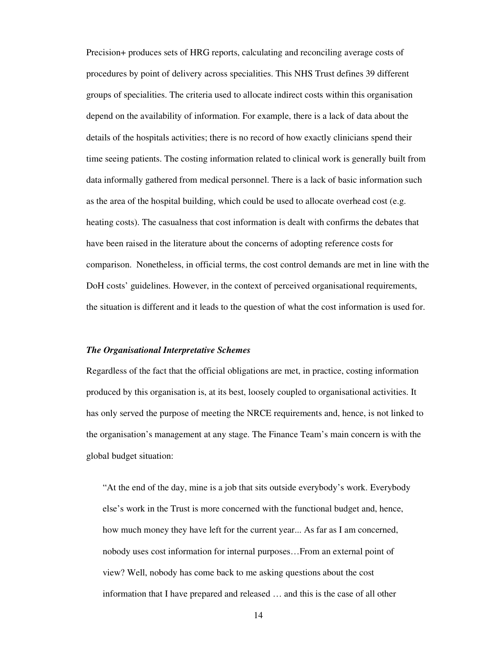Precision+ produces sets of HRG reports, calculating and reconciling average costs of procedures by point of delivery across specialities. This NHS Trust defines 39 different groups of specialities. The criteria used to allocate indirect costs within this organisation depend on the availability of information. For example, there is a lack of data about the details of the hospitals activities; there is no record of how exactly clinicians spend their time seeing patients. The costing information related to clinical work is generally built from data informally gathered from medical personnel. There is a lack of basic information such as the area of the hospital building, which could be used to allocate overhead cost (e.g. heating costs). The casualness that cost information is dealt with confirms the debates that have been raised in the literature about the concerns of adopting reference costs for comparison. Nonetheless, in official terms, the cost control demands are met in line with the DoH costs' guidelines. However, in the context of perceived organisational requirements, the situation is different and it leads to the question of what the cost information is used for.

#### *The Organisational Interpretative Schemes*

Regardless of the fact that the official obligations are met, in practice, costing information produced by this organisation is, at its best, loosely coupled to organisational activities. It has only served the purpose of meeting the NRCE requirements and, hence, is not linked to the organisation's management at any stage. The Finance Team's main concern is with the global budget situation:

"At the end of the day, mine is a job that sits outside everybody's work. Everybody else's work in the Trust is more concerned with the functional budget and, hence, how much money they have left for the current year... As far as I am concerned, nobody uses cost information for internal purposes…From an external point of view? Well, nobody has come back to me asking questions about the cost information that I have prepared and released … and this is the case of all other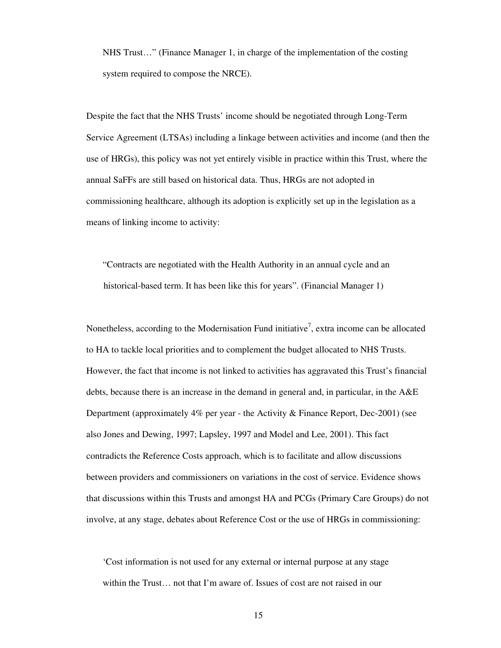NHS Trust…" (Finance Manager 1, in charge of the implementation of the costing system required to compose the NRCE).

Despite the fact that the NHS Trusts' income should be negotiated through Long-Term Service Agreement (LTSAs) including a linkage between activities and income (and then the use of HRGs), this policy was not yet entirely visible in practice within this Trust, where the annual SaFFs are still based on historical data. Thus, HRGs are not adopted in commissioning healthcare, although its adoption is explicitly set up in the legislation as a means of linking income to activity:

"Contracts are negotiated with the Health Authority in an annual cycle and an historical-based term. It has been like this for years". (Financial Manager 1)

Nonetheless, according to the Modernisation Fund initiative<sup>7</sup>, extra income can be allocated to HA to tackle local priorities and to complement the budget allocated to NHS Trusts. However, the fact that income is not linked to activities has aggravated this Trust's financial debts, because there is an increase in the demand in general and, in particular, in the A&E Department (approximately 4% per year - the Activity & Finance Report, Dec-2001) (see also Jones and Dewing, 1997; Lapsley, 1997 and Model and Lee, 2001). This fact contradicts the Reference Costs approach, which is to facilitate and allow discussions between providers and commissioners on variations in the cost of service. Evidence shows that discussions within this Trusts and amongst HA and PCGs (Primary Care Groups) do not involve, at any stage, debates about Reference Cost or the use of HRGs in commissioning:

'Cost information is not used for any external or internal purpose at any stage within the Trust… not that I'm aware of. Issues of cost are not raised in our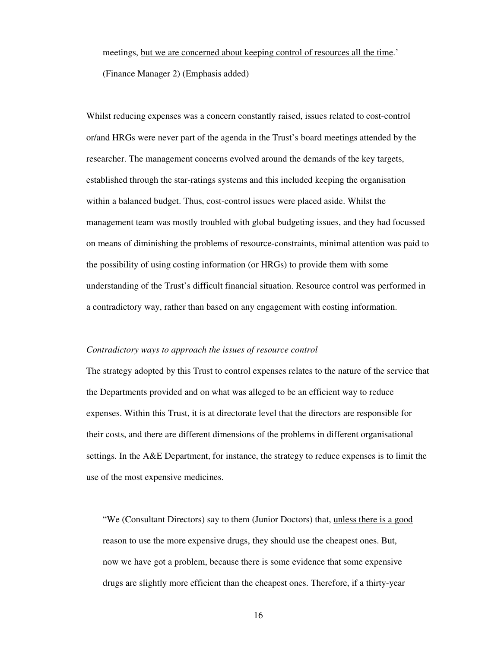meetings, but we are concerned about keeping control of resources all the time.' (Finance Manager 2) (Emphasis added)

Whilst reducing expenses was a concern constantly raised, issues related to cost-control or/and HRGs were never part of the agenda in the Trust's board meetings attended by the researcher. The management concerns evolved around the demands of the key targets, established through the star-ratings systems and this included keeping the organisation within a balanced budget. Thus, cost-control issues were placed aside. Whilst the management team was mostly troubled with global budgeting issues, and they had focussed on means of diminishing the problems of resource-constraints, minimal attention was paid to the possibility of using costing information (or HRGs) to provide them with some understanding of the Trust's difficult financial situation. Resource control was performed in a contradictory way, rather than based on any engagement with costing information.

#### *Contradictory ways to approach the issues of resource control*

The strategy adopted by this Trust to control expenses relates to the nature of the service that the Departments provided and on what was alleged to be an efficient way to reduce expenses. Within this Trust, it is at directorate level that the directors are responsible for their costs, and there are different dimensions of the problems in different organisational settings. In the A&E Department, for instance, the strategy to reduce expenses is to limit the use of the most expensive medicines.

"We (Consultant Directors) say to them (Junior Doctors) that, unless there is a good reason to use the more expensive drugs, they should use the cheapest ones. But, now we have got a problem, because there is some evidence that some expensive drugs are slightly more efficient than the cheapest ones. Therefore, if a thirty-year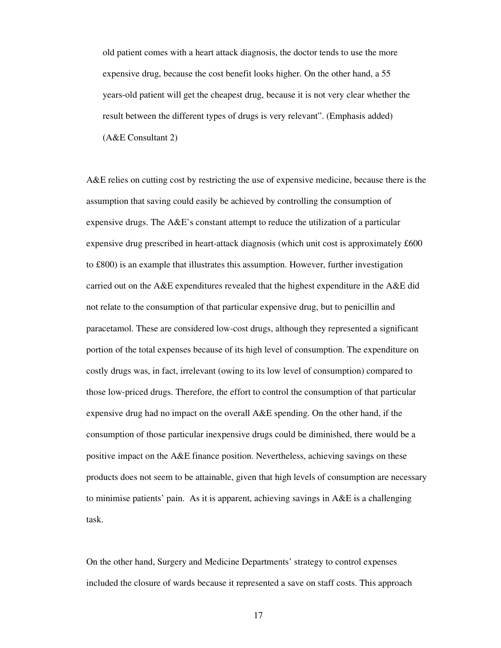old patient comes with a heart attack diagnosis, the doctor tends to use the more expensive drug, because the cost benefit looks higher. On the other hand, a 55 years-old patient will get the cheapest drug, because it is not very clear whether the result between the different types of drugs is very relevant". (Emphasis added) (A&E Consultant 2)

A&E relies on cutting cost by restricting the use of expensive medicine, because there is the assumption that saving could easily be achieved by controlling the consumption of expensive drugs. The A&E's constant attempt to reduce the utilization of a particular expensive drug prescribed in heart-attack diagnosis (which unit cost is approximately £600 to £800) is an example that illustrates this assumption. However, further investigation carried out on the A&E expenditures revealed that the highest expenditure in the A&E did not relate to the consumption of that particular expensive drug, but to penicillin and paracetamol. These are considered low-cost drugs, although they represented a significant portion of the total expenses because of its high level of consumption. The expenditure on costly drugs was, in fact, irrelevant (owing to its low level of consumption) compared to those low-priced drugs. Therefore, the effort to control the consumption of that particular expensive drug had no impact on the overall A&E spending. On the other hand, if the consumption of those particular inexpensive drugs could be diminished, there would be a positive impact on the A&E finance position. Nevertheless, achieving savings on these products does not seem to be attainable, given that high levels of consumption are necessary to minimise patients' pain. As it is apparent, achieving savings in A&E is a challenging task.

On the other hand, Surgery and Medicine Departments' strategy to control expenses included the closure of wards because it represented a save on staff costs. This approach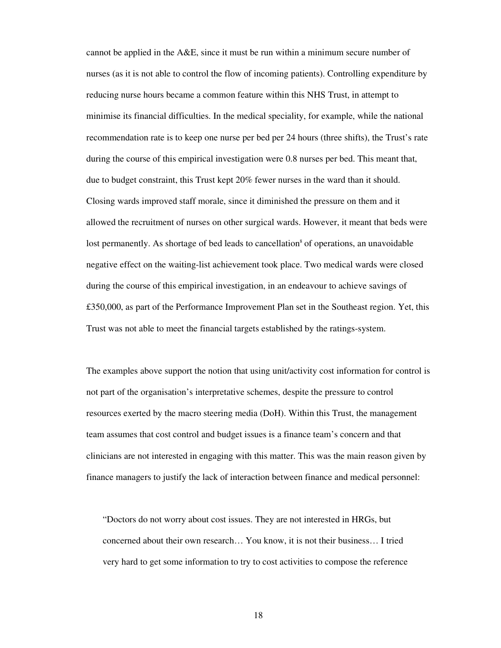cannot be applied in the A&E, since it must be run within a minimum secure number of nurses (as it is not able to control the flow of incoming patients). Controlling expenditure by reducing nurse hours became a common feature within this NHS Trust, in attempt to minimise its financial difficulties. In the medical speciality, for example, while the national recommendation rate is to keep one nurse per bed per 24 hours (three shifts), the Trust's rate during the course of this empirical investigation were 0.8 nurses per bed. This meant that, due to budget constraint, this Trust kept 20% fewer nurses in the ward than it should. Closing wards improved staff morale, since it diminished the pressure on them and it allowed the recruitment of nurses on other surgical wards. However, it meant that beds were lost permanently. As shortage of bed leads to cancellation<sup>8</sup> of operations, an unavoidable negative effect on the waiting-list achievement took place. Two medical wards were closed during the course of this empirical investigation, in an endeavour to achieve savings of £350,000, as part of the Performance Improvement Plan set in the Southeast region. Yet, this Trust was not able to meet the financial targets established by the ratings-system.

The examples above support the notion that using unit/activity cost information for control is not part of the organisation's interpretative schemes, despite the pressure to control resources exerted by the macro steering media (DoH). Within this Trust, the management team assumes that cost control and budget issues is a finance team's concern and that clinicians are not interested in engaging with this matter. This was the main reason given by finance managers to justify the lack of interaction between finance and medical personnel:

"Doctors do not worry about cost issues. They are not interested in HRGs, but concerned about their own research… You know, it is not their business… I tried very hard to get some information to try to cost activities to compose the reference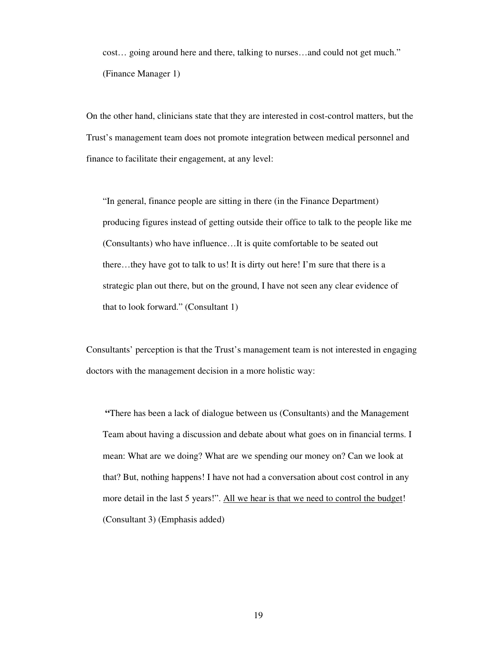cost… going around here and there, talking to nurses…and could not get much." (Finance Manager 1)

On the other hand, clinicians state that they are interested in cost-control matters, but the Trust's management team does not promote integration between medical personnel and finance to facilitate their engagement, at any level:

"In general, finance people are sitting in there (in the Finance Department) producing figures instead of getting outside their office to talk to the people like me (Consultants) who have influence…It is quite comfortable to be seated out there…they have got to talk to us! It is dirty out here! I'm sure that there is a strategic plan out there, but on the ground, I have not seen any clear evidence of that to look forward." (Consultant 1)

Consultants' perception is that the Trust's management team is not interested in engaging doctors with the management decision in a more holistic way:

**"**There has been a lack of dialogue between us (Consultants) and the Management Team about having a discussion and debate about what goes on in financial terms. I mean: What are we doing? What are we spending our money on? Can we look at that? But, nothing happens! I have not had a conversation about cost control in any more detail in the last 5 years!". All we hear is that we need to control the budget! (Consultant 3) (Emphasis added)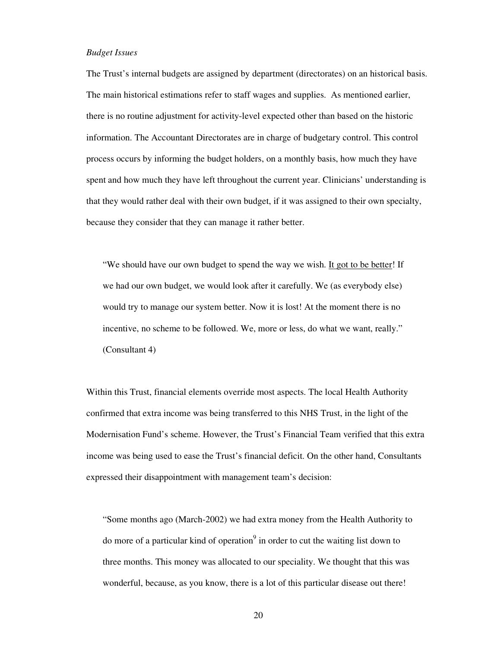#### *Budget Issues*

The Trust's internal budgets are assigned by department (directorates) on an historical basis. The main historical estimations refer to staff wages and supplies. As mentioned earlier, there is no routine adjustment for activity-level expected other than based on the historic information. The Accountant Directorates are in charge of budgetary control. This control process occurs by informing the budget holders, on a monthly basis, how much they have spent and how much they have left throughout the current year. Clinicians' understanding is that they would rather deal with their own budget, if it was assigned to their own specialty, because they consider that they can manage it rather better.

"We should have our own budget to spend the way we wish. It got to be better! If we had our own budget, we would look after it carefully. We (as everybody else) would try to manage our system better. Now it is lost! At the moment there is no incentive, no scheme to be followed. We, more or less, do what we want, really." (Consultant 4)

Within this Trust, financial elements override most aspects. The local Health Authority confirmed that extra income was being transferred to this NHS Trust, in the light of the Modernisation Fund's scheme. However, the Trust's Financial Team verified that this extra income was being used to ease the Trust's financial deficit. On the other hand, Consultants expressed their disappointment with management team's decision:

"Some months ago (March-2002) we had extra money from the Health Authority to do more of a particular kind of operation<sup>9</sup> in order to cut the waiting list down to three months. This money was allocated to our speciality. We thought that this was wonderful, because, as you know, there is a lot of this particular disease out there!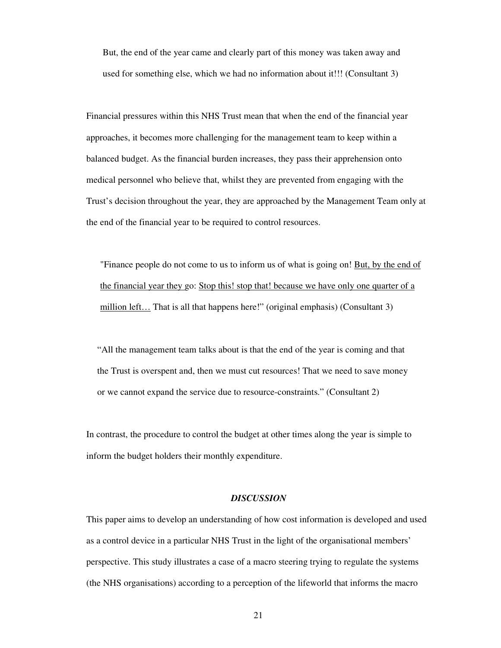But, the end of the year came and clearly part of this money was taken away and used for something else, which we had no information about it!!! (Consultant 3)

Financial pressures within this NHS Trust mean that when the end of the financial year approaches, it becomes more challenging for the management team to keep within a balanced budget. As the financial burden increases, they pass their apprehension onto medical personnel who believe that, whilst they are prevented from engaging with the Trust's decision throughout the year, they are approached by the Management Team only at the end of the financial year to be required to control resources.

"Finance people do not come to us to inform us of what is going on! But, by the end of the financial year they go: Stop this! stop that! because we have only one quarter of a million left… That is all that happens here!" (original emphasis) (Consultant 3)

"All the management team talks about is that the end of the year is coming and that the Trust is overspent and, then we must cut resources! That we need to save money or we cannot expand the service due to resource-constraints." (Consultant 2)

In contrast, the procedure to control the budget at other times along the year is simple to inform the budget holders their monthly expenditure.

#### *DISCUSSION*

This paper aims to develop an understanding of how cost information is developed and used as a control device in a particular NHS Trust in the light of the organisational members' perspective. This study illustrates a case of a macro steering trying to regulate the systems (the NHS organisations) according to a perception of the lifeworld that informs the macro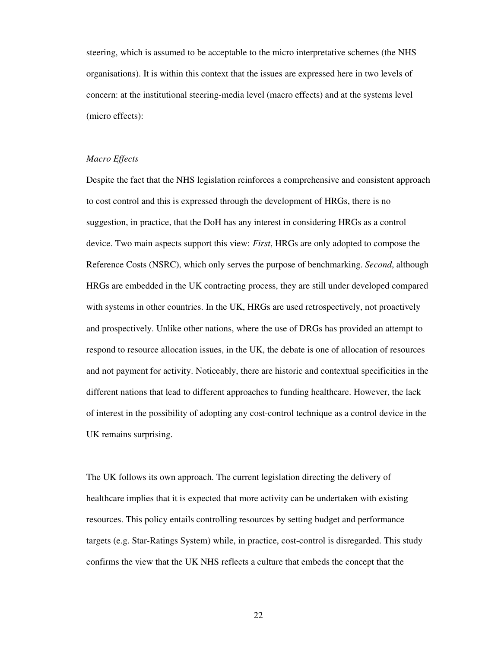steering, which is assumed to be acceptable to the micro interpretative schemes (the NHS organisations). It is within this context that the issues are expressed here in two levels of concern: at the institutional steering-media level (macro effects) and at the systems level (micro effects):

#### *Macro Effects*

Despite the fact that the NHS legislation reinforces a comprehensive and consistent approach to cost control and this is expressed through the development of HRGs, there is no suggestion, in practice, that the DoH has any interest in considering HRGs as a control device. Two main aspects support this view: *First*, HRGs are only adopted to compose the Reference Costs (NSRC), which only serves the purpose of benchmarking. *Second*, although HRGs are embedded in the UK contracting process, they are still under developed compared with systems in other countries. In the UK, HRGs are used retrospectively, not proactively and prospectively. Unlike other nations, where the use of DRGs has provided an attempt to respond to resource allocation issues, in the UK, the debate is one of allocation of resources and not payment for activity. Noticeably, there are historic and contextual specificities in the different nations that lead to different approaches to funding healthcare. However, the lack of interest in the possibility of adopting any cost-control technique as a control device in the UK remains surprising.

The UK follows its own approach. The current legislation directing the delivery of healthcare implies that it is expected that more activity can be undertaken with existing resources. This policy entails controlling resources by setting budget and performance targets (e.g. Star-Ratings System) while, in practice, cost-control is disregarded. This study confirms the view that the UK NHS reflects a culture that embeds the concept that the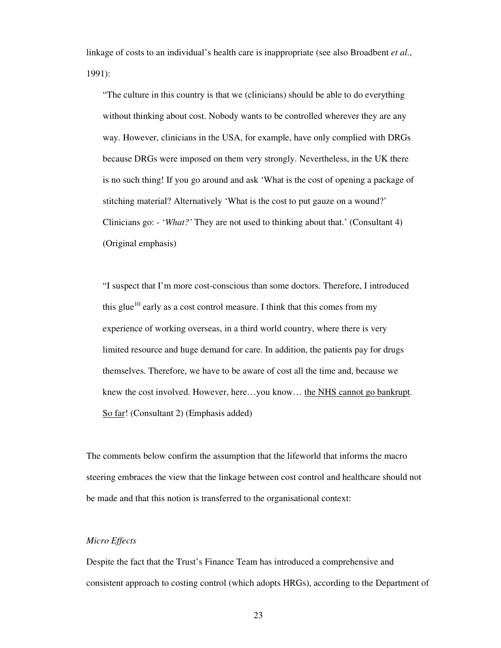linkage of costs to an individual's health care is inappropriate (see also Broadbent *et al*., 1991):

"The culture in this country is that we (clinicians) should be able to do everything without thinking about cost. Nobody wants to be controlled wherever they are any way. However, clinicians in the USA, for example, have only complied with DRGs because DRGs were imposed on them very strongly. Nevertheless, in the UK there is no such thing! If you go around and ask 'What is the cost of opening a package of stitching material? Alternatively 'What is the cost to put gauze on a wound?' Clinicians go: - '*What?'* They are not used to thinking about that.' (Consultant 4) (Original emphasis)

"I suspect that I'm more cost-conscious than some doctors. Therefore, I introduced this glue<sup>10</sup> early as a cost control measure. I think that this comes from my experience of working overseas, in a third world country, where there is very limited resource and huge demand for care. In addition, the patients pay for drugs themselves. Therefore, we have to be aware of cost all the time and, because we knew the cost involved. However, here…you know… the NHS cannot go bankrupt. So far! (Consultant 2) (Emphasis added)

The comments below confirm the assumption that the lifeworld that informs the macro steering embraces the view that the linkage between cost control and healthcare should not be made and that this notion is transferred to the organisational context:

## *Micro Effects*

Despite the fact that the Trust's Finance Team has introduced a comprehensive and consistent approach to costing control (which adopts HRGs), according to the Department of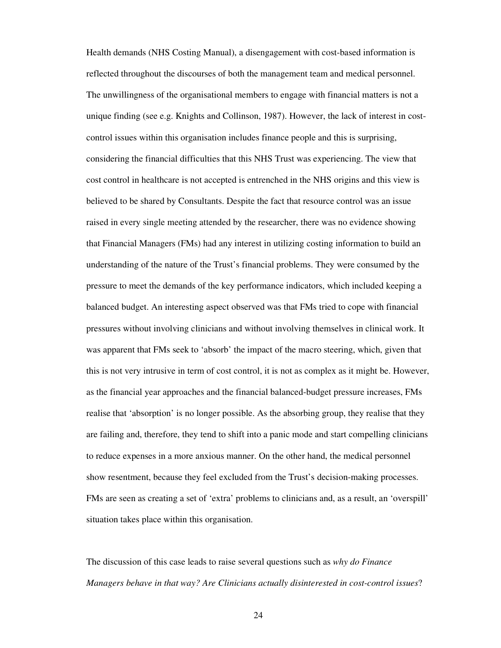Health demands (NHS Costing Manual), a disengagement with cost-based information is reflected throughout the discourses of both the management team and medical personnel. The unwillingness of the organisational members to engage with financial matters is not a unique finding (see e.g. Knights and Collinson, 1987). However, the lack of interest in costcontrol issues within this organisation includes finance people and this is surprising, considering the financial difficulties that this NHS Trust was experiencing. The view that cost control in healthcare is not accepted is entrenched in the NHS origins and this view is believed to be shared by Consultants. Despite the fact that resource control was an issue raised in every single meeting attended by the researcher, there was no evidence showing that Financial Managers (FMs) had any interest in utilizing costing information to build an understanding of the nature of the Trust's financial problems. They were consumed by the pressure to meet the demands of the key performance indicators, which included keeping a balanced budget. An interesting aspect observed was that FMs tried to cope with financial pressures without involving clinicians and without involving themselves in clinical work. It was apparent that FMs seek to 'absorb' the impact of the macro steering, which, given that this is not very intrusive in term of cost control, it is not as complex as it might be. However, as the financial year approaches and the financial balanced-budget pressure increases, FMs realise that 'absorption' is no longer possible. As the absorbing group, they realise that they are failing and, therefore, they tend to shift into a panic mode and start compelling clinicians to reduce expenses in a more anxious manner. On the other hand, the medical personnel show resentment, because they feel excluded from the Trust's decision-making processes. FMs are seen as creating a set of 'extra' problems to clinicians and, as a result, an 'overspill' situation takes place within this organisation.

The discussion of this case leads to raise several questions such as *why do Finance Managers behave in that way? Are Clinicians actually disinterested in cost-control issues*?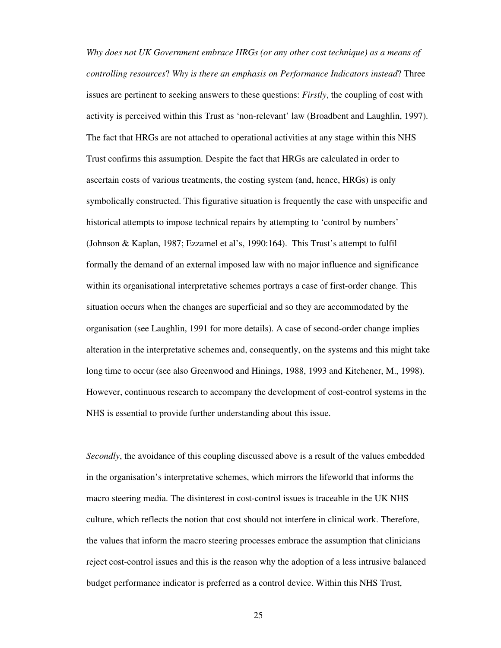*Why does not UK Government embrace HRGs (or any other cost technique) as a means of controlling resources*? *Why is there an emphasis on Performance Indicators instead*? Three issues are pertinent to seeking answers to these questions: *Firstly*, the coupling of cost with activity is perceived within this Trust as 'non-relevant' law (Broadbent and Laughlin, 1997). The fact that HRGs are not attached to operational activities at any stage within this NHS Trust confirms this assumption. Despite the fact that HRGs are calculated in order to ascertain costs of various treatments, the costing system (and, hence, HRGs) is only symbolically constructed. This figurative situation is frequently the case with unspecific and historical attempts to impose technical repairs by attempting to 'control by numbers' (Johnson & Kaplan, 1987; Ezzamel et al's, 1990:164). This Trust's attempt to fulfil formally the demand of an external imposed law with no major influence and significance within its organisational interpretative schemes portrays a case of first-order change. This situation occurs when the changes are superficial and so they are accommodated by the organisation (see Laughlin, 1991 for more details). A case of second-order change implies alteration in the interpretative schemes and, consequently, on the systems and this might take long time to occur (see also Greenwood and Hinings, 1988, 1993 and Kitchener, M., 1998). However, continuous research to accompany the development of cost-control systems in the NHS is essential to provide further understanding about this issue.

*Secondly*, the avoidance of this coupling discussed above is a result of the values embedded in the organisation's interpretative schemes, which mirrors the lifeworld that informs the macro steering media. The disinterest in cost-control issues is traceable in the UK NHS culture, which reflects the notion that cost should not interfere in clinical work. Therefore, the values that inform the macro steering processes embrace the assumption that clinicians reject cost-control issues and this is the reason why the adoption of a less intrusive balanced budget performance indicator is preferred as a control device. Within this NHS Trust,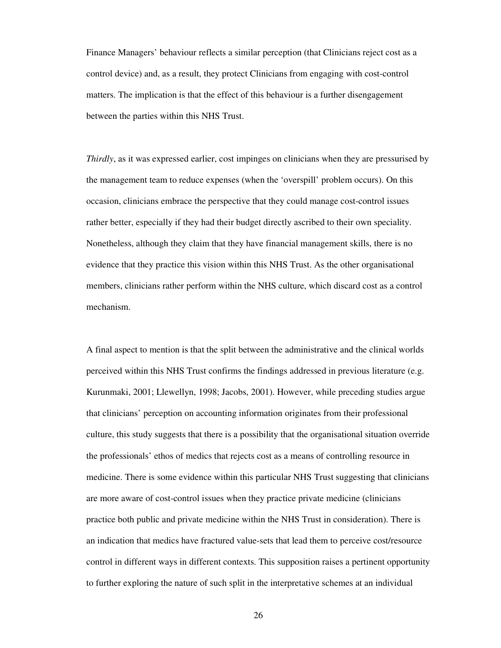Finance Managers' behaviour reflects a similar perception (that Clinicians reject cost as a control device) and, as a result, they protect Clinicians from engaging with cost-control matters. The implication is that the effect of this behaviour is a further disengagement between the parties within this NHS Trust.

*Thirdly*, as it was expressed earlier, cost impinges on clinicians when they are pressurised by the management team to reduce expenses (when the 'overspill' problem occurs). On this occasion, clinicians embrace the perspective that they could manage cost-control issues rather better, especially if they had their budget directly ascribed to their own speciality. Nonetheless, although they claim that they have financial management skills, there is no evidence that they practice this vision within this NHS Trust. As the other organisational members, clinicians rather perform within the NHS culture, which discard cost as a control mechanism.

A final aspect to mention is that the split between the administrative and the clinical worlds perceived within this NHS Trust confirms the findings addressed in previous literature (e.g. Kurunmaki, 2001; Llewellyn, 1998; Jacobs, 2001). However, while preceding studies argue that clinicians' perception on accounting information originates from their professional culture, this study suggests that there is a possibility that the organisational situation override the professionals' ethos of medics that rejects cost as a means of controlling resource in medicine. There is some evidence within this particular NHS Trust suggesting that clinicians are more aware of cost-control issues when they practice private medicine (clinicians practice both public and private medicine within the NHS Trust in consideration). There is an indication that medics have fractured value-sets that lead them to perceive cost/resource control in different ways in different contexts. This supposition raises a pertinent opportunity to further exploring the nature of such split in the interpretative schemes at an individual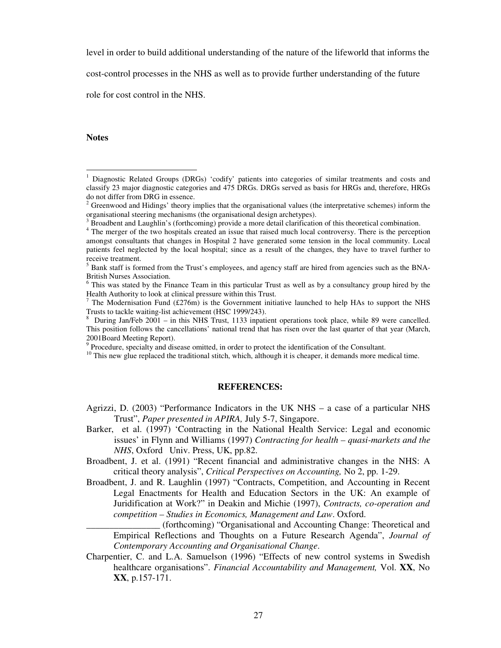level in order to build additional understanding of the nature of the lifeworld that informs the

cost-control processes in the NHS as well as to provide further understanding of the future

role for cost control in the NHS.

#### **Notes**

## **REFERENCES:**

\_\_\_\_\_\_\_\_\_\_\_\_\_\_\_\_ (forthcoming) "Organisational and Accounting Change: Theoretical and Empirical Reflections and Thoughts on a Future Research Agenda", *Journal of Contemporary Accounting and Organisational Change*.

<sup>1</sup> Diagnostic Related Groups (DRGs) 'codify' patients into categories of similar treatments and costs and classify 23 major diagnostic categories and 475 DRGs. DRGs served as basis for HRGs and, therefore, HRGs do not differ from DRG in essence.

 $2^2$  Greenwood and Hidings' theory implies that the organisational values (the interpretative schemes) inform the organisational steering mechanisms (the organisational design archetypes).

 $3$  Broadbent and Laughlin's (forthcoming) provide a more detail clarification of this theoretical combination.

<sup>&</sup>lt;sup>4</sup> The merger of the two hospitals created an issue that raised much local controversy. There is the perception amongst consultants that changes in Hospital 2 have generated some tension in the local community. Local patients feel neglected by the local hospital; since as a result of the changes, they have to travel further to receive treatment.

<sup>&</sup>lt;sup>5</sup> Bank staff is formed from the Trust's employees, and agency staff are hired from agencies such as the BNA-British Nurses Association.

<sup>&</sup>lt;sup>6</sup> This was stated by the Finance Team in this particular Trust as well as by a consultancy group hired by the Health Authority to look at clinical pressure within this Trust.

<sup>&</sup>lt;sup>7</sup> The Modernisation Fund (£276m) is the Government initiative launched to help HAs to support the NHS Trusts to tackle waiting-list achievement (HSC 1999/243).

<sup>&</sup>lt;sup>8</sup> During Jan/Feb 2001 – in this NHS Trust, 1133 inpatient operations took place, while 89 were cancelled. This position follows the cancellations' national trend that has risen over the last quarter of that year (March, 2001Board Meeting Report).

<sup>&</sup>lt;sup>9</sup> Procedure, specialty and disease omitted, in order to protect the identification of the Consultant.

<sup>&</sup>lt;sup>10</sup> This new glue replaced the traditional stitch, which, although it is cheaper, it demands more medical time.

Agrizzi, D. (2003) "Performance Indicators in the UK NHS – a case of a particular NHS Trust", *Paper presented in APIRA,* July 5-7, Singapore.

Barker, et al. (1997) 'Contracting in the National Health Service: Legal and economic issues' in Flynn and Williams (1997) *Contracting for health – quasi-markets and the NHS*, Oxford Univ. Press, UK, pp.82.

Broadbent, J. et al. (1991) "Recent financial and administrative changes in the NHS: A critical theory analysis", *Critical Perspectives on Accounting,* No 2, pp. 1-29.

Broadbent, J. and R. Laughlin (1997) "Contracts, Competition, and Accounting in Recent Legal Enactments for Health and Education Sectors in the UK: An example of Juridification at Work?" in Deakin and Michie (1997), *Contracts, co-operation and competition – Studies in Economics, Management and Law*. Oxford.

Charpentier, C. and L.A. Samuelson (1996) "Effects of new control systems in Swedish healthcare organisations". *Financial Accountability and Management,* Vol. **XX**, No **XX**, p.157-171.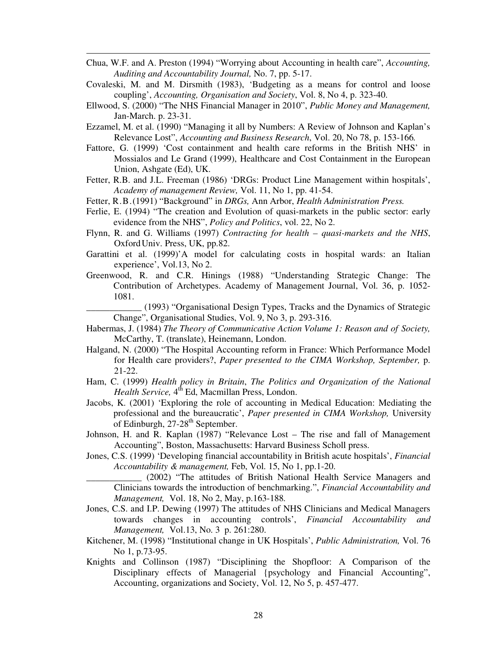- Chua, W.F. and A. Preston (1994) "Worrying about Accounting in health care", *Accounting, Auditing and Accountability Journal,* No. 7, pp. 5-17.
- Covaleski, M. and M. Dirsmith (1983), 'Budgeting as a means for control and loose coupling', *Accounting, Organisation and Society*, Vol. 8, No 4, p. 323-40.
- Ellwood, S. (2000) "The NHS Financial Manager in 2010", *Public Money and Management,* Jan-March. p. 23-31.
- Ezzamel, M. et al. (1990) "Managing it all by Numbers: A Review of Johnson and Kaplan's Relevance Lost", *Accounting and Business Research*, Vol. 20, No 78, p. 153-166*.*
- Fattore, G. (1999) 'Cost containment and health care reforms in the British NHS' in Mossialos and Le Grand (1999), Healthcare and Cost Containment in the European Union, Ashgate (Ed), UK.
- Fetter, R.B. and J.L. Freeman (1986) 'DRGs: Product Line Management within hospitals', *Academy of management Review,* Vol. 11, No 1, pp. 41-54.
- Fetter, R.B.(1991) "Background" in *DRGs,* Ann Arbor, *Health Administration Press.*
- Ferlie, E. (1994) "The creation and Evolution of quasi-markets in the public sector: early evidence from the NHS", *Policy and Politics*, vol. 22, No 2.
- Flynn, R. and G. Williams (1997) *Contracting for health – quasi-markets and the NHS*, OxfordUniv. Press, UK, pp.82.
- Garattini et al. (1999)'A model for calculating costs in hospital wards: an Italian experience', Vol.13, No 2.
- Greenwood, R. and C.R. Hinings (1988) "Understanding Strategic Change: The Contribution of Archetypes. Academy of Management Journal, Vol. 36, p. 1052- 1081.

\_\_\_\_\_\_\_\_\_\_\_\_ (1993) "Organisational Design Types, Tracks and the Dynamics of Strategic Change", Organisational Studies, Vol. 9, No 3, p. 293-316.

- Habermas, J. (1984) *The Theory of Communicative Action Volume 1: Reason and of Society,* McCarthy, T. (translate), Heinemann, London.
- Halgand, N. (2000) "The Hospital Accounting reform in France: Which Performance Model for Health care providers?, *Paper presented to the CIMA Workshop, September,* p. 21-22.
- Ham, C. (1999) *Health policy in Britain*, *The Politics and Organization of the National* Health *Service*, 4<sup>th</sup> Ed, Macmillan Press, London.
- Jacobs, K. (2001) 'Exploring the role of accounting in Medical Education: Mediating the professional and the bureaucratic', *Paper presented in CIMA Workshop,* University of Edinburgh, 27-28<sup>th</sup> September.
- Johnson, H. and R. Kaplan (1987) "Relevance Lost The rise and fall of Management Accounting", Boston, Massachusetts: Harvard Business Scholl press.
- Jones, C.S. (1999) 'Developing financial accountability in British acute hospitals', *Financial Accountability & management,* Feb, Vol. 15, No 1, pp.1-20.
	- \_\_\_\_\_\_\_\_\_\_\_\_ (2002) "The attitudes of British National Health Service Managers and Clinicians towards the introduction of benchmarking.", *Financial Accountability and Management,* Vol. 18, No 2, May, p.163-188*.*
- Jones, C.S. and I.P. Dewing (1997) The attitudes of NHS Clinicians and Medical Managers towards changes in accounting controls', *Financial Accountability and Management,* Vol.13, No. 3 p. 261:280.
- Kitchener, M. (1998) "Institutional change in UK Hospitals', *Public Administration,* Vol. 76 No 1, p.73-95.
- Knights and Collinson (1987) "Disciplining the Shopfloor: A Comparison of the Disciplinary effects of Managerial {psychology and Financial Accounting", Accounting, organizations and Society, Vol. 12, No 5, p. 457-477.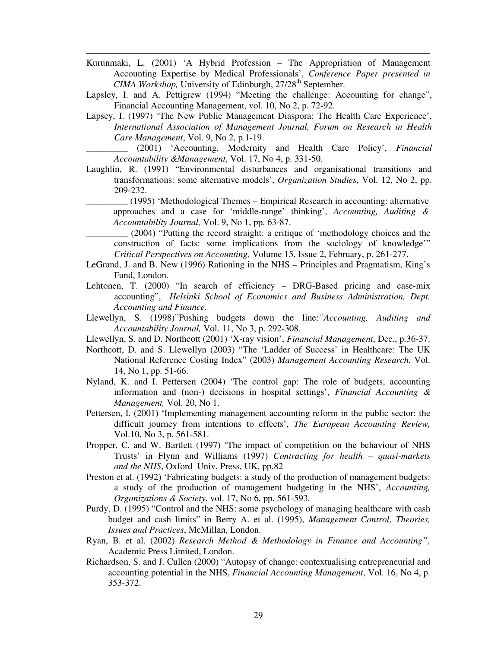- Kurunmaki, L. (2001) 'A Hybrid Profession The Appropriation of Management Accounting Expertise by Medical Professionals', *Conference Paper presented in* CIMA Workshop, University of Edinburgh, 27/28<sup>th</sup> September.
- Lapsley, I. and A. Pettigrew (1994) "Meeting the challenge: Accounting for change", Financial Accounting Management, vol. 10, No 2, p. 72-92.
- Lapsey, I. (1997) 'The New Public Management Diaspora: The Health Care Experience', *International Association of Management Journal, Forum on Research in Health Care Management*, Vol. 9, No 2, p.1-19.

\_\_\_\_\_\_\_\_\_ (2001) 'Accounting, Modernity and Health Care Policy', *Financial Accountability &Management*, Vol. 17, No 4, p. 331-50.

- Laughlin, R. (1991) "Environmental disturbances and organisational transitions and transformations: some alternative models', *Organization Studies*, Vol. 12, No 2, pp. 209-232.
	- \_\_\_\_\_\_\_\_\_ (1995) 'Methodological Themes Empirical Research in accounting: alternative approaches and a case for 'middle-range' thinking', *Accounting, Auditing & Accountability Journal,* Vol. 9, No 1, pp. 63-87.
		- \_\_\_\_\_\_\_\_\_ (2004) "Putting the record straight: a critique of 'methodology choices and the construction of facts: some implications from the sociology of knowledge'" *Critical Perspectives on Accounting,* Volume 15, Issue 2, February, p. 261-277.
- LeGrand, J. and B. New (1996) Rationing in the NHS Principles and Pragmatism, King's Fund, London.
- Lehtonen, T. (2000) "In search of efficiency DRG-Based pricing and case-mix accounting", *Helsinki School of Economics and Business Administration, Dept. Accounting and Finance.*
- Llewellyn, S. (1998)"Pushing budgets down the line:*"Accounting, Auditing and Accountability Journal,* Vol. 11, No 3, p. 292-308.
- Llewellyn, S. and D. Northcott (2001) 'X-ray vision', *Financial Management*, Dec., p.36-37.
- Northcott, D. and S. Llewellyn (2003) "The 'Ladder of Success' in Healthcare: The UK National Reference Costing Index" (2003) *Management Accounting Research*, Vol. 14, No 1, pp. 51-66.
- Nyland, K. and I. Pettersen (2004) 'The control gap: The role of budgets, accounting information and (non-) decisions in hospital settings', *Financial Accounting & Management,* Vol. 20, No 1.
- Pettersen, I. (2001) 'Implementing management accounting reform in the public sector: the difficult journey from intentions to effects', *The European Accounting Review,* Vol.10, No 3, p. 561-581.
- Propper, C. and W. Bartlett (1997) 'The impact of competition on the behaviour of NHS Trusts' in Flynn and Williams (1997) *Contracting for health – quasi-markets and the NHS*, Oxford Univ. Press, UK, pp.82
- Preston et al. (1992) 'Fabricating budgets: a study of the production of management budgets: a study of the production of management budgeting in the NHS', *Accounting, Organizations & Society*, vol. 17, No 6, pp. 561-593.
- Purdy, D. (1995) "Control and the NHS: some psychology of managing healthcare with cash budget and cash limits" in Berry A. et al. (1995), *Management Control, Theories, Issues and Practices*, McMillan, London.
- Ryan, B. et al. (2002) *Research Method & Methodology in Finance and Accounting"*, Academic Press Limited, London.
- Richardson, S. and J. Cullen (2000) "Autopsy of change: contextualising entrepreneurial and accounting potential in the NHS, *Financial Accounting Management*, Vol. 16, No 4, p. 353-372.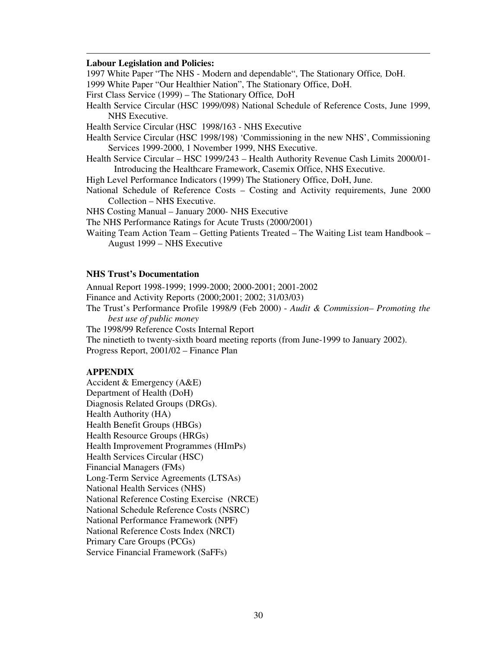#### **Labour Legislation and Policies:**

1997 White Paper "The NHS - Modern and dependable", The Stationary Office*,* DoH.

1999 White Paper "Our Healthier Nation", The Stationary Office, DoH.

First Class Service (1999) – The Stationary Office*,* DoH

Health Service Circular (HSC 1999/098) National Schedule of Reference Costs, June 1999, NHS Executive.

Health Service Circular (HSC 1998/163 - NHS Executive

- Health Service Circular (HSC 1998/198) 'Commissioning in the new NHS', Commissioning Services 1999-2000, 1 November 1999, NHS Executive.
- Health Service Circular HSC 1999/243 Health Authority Revenue Cash Limits 2000/01- Introducing the Healthcare Framework, Casemix Office, NHS Executive.

High Level Performance Indicators (1999) The Stationery Office, DoH, June.

National Schedule of Reference Costs – Costing and Activity requirements, June 2000 Collection – NHS Executive.

NHS Costing Manual – January 2000- NHS Executive

The NHS Performance Ratings for Acute Trusts (2000/2001)

Waiting Team Action Team – Getting Patients Treated – The Waiting List team Handbook – August 1999 – NHS Executive

#### **NHS Trust's Documentation**

Annual Report 1998-1999; 1999-2000; 2000-2001; 2001-2002

Finance and Activity Reports (2000;2001; 2002; 31/03/03)

The Trust's Performance Profile 1998/9 (Feb 2000) - *Audit & Commission– Promoting the best use of public money*

The 1998/99 Reference Costs Internal Report

The ninetieth to twenty-sixth board meeting reports (from June-1999 to January 2002). Progress Report, 2001/02 – Finance Plan

#### **APPENDIX**

Accident & Emergency (A&E) Department of Health (DoH) Diagnosis Related Groups (DRGs). Health Authority (HA) Health Benefit Groups (HBGs) Health Resource Groups (HRGs) Health Improvement Programmes (HImPs) Health Services Circular (HSC) Financial Managers (FMs) Long-Term Service Agreements (LTSAs) National Health Services (NHS) National Reference Costing Exercise (NRCE) National Schedule Reference Costs (NSRC) National Performance Framework (NPF) National Reference Costs Index (NRCI) Primary Care Groups (PCGs) Service Financial Framework (SaFFs)